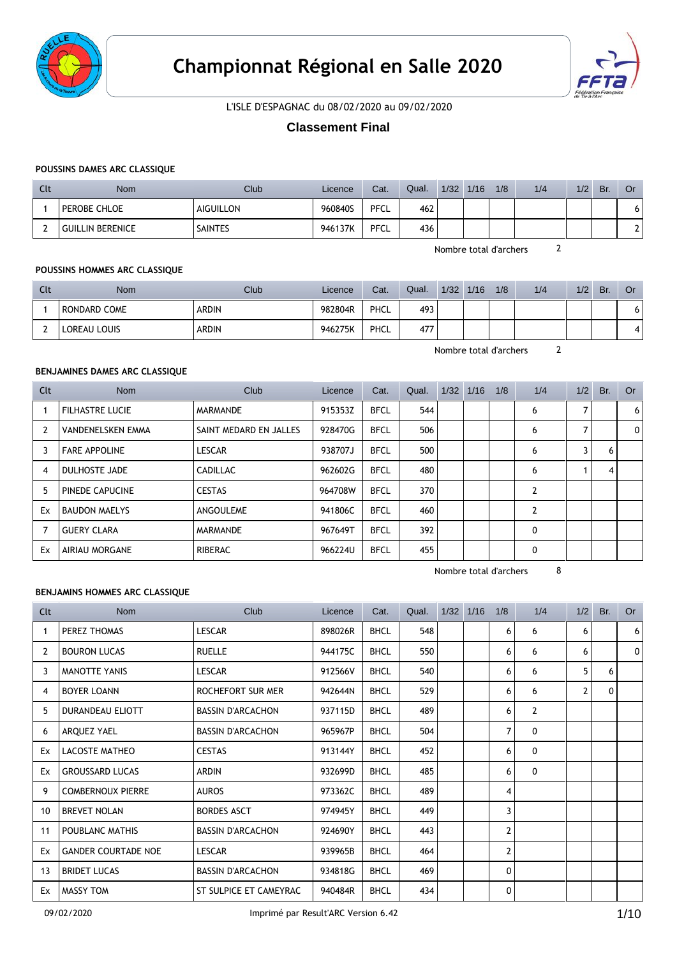



L'ISLE D'ESPAGNAC du 08/02/2020 au 09/02/2020

# **Classement Final**

# **POUSSINS DAMES ARC CLASSIQUE**

| Llt | Nom                     | <b>Club</b>    | Licence | Cat. | Qual. | 1/32 | 1/16 | 1/8 | 1/4 | 1/2 | Br. | Or                       |
|-----|-------------------------|----------------|---------|------|-------|------|------|-----|-----|-----|-----|--------------------------|
|     | <b>PEROBE CHLOE</b>     | AIGUILLON      | 960840S | PFCL | 462   |      |      |     |     |     |     | O                        |
|     | <b>GUILLIN BERENICE</b> | <b>SAINTES</b> | 946137K | PFCL | 436   |      |      |     |     |     |     | $\overline{\phantom{0}}$ |

Nombre total d'archers 2

## **POUSSINS HOMMES ARC CLASSIQUE**

| Llt | <b>Nom</b>   | Club         | Licence | Cat. | Qual. | 1/32 | 1/16 | 1/8 | 1/4 | 1/2 | Br. | Or  |
|-----|--------------|--------------|---------|------|-------|------|------|-----|-----|-----|-----|-----|
|     | RONDARD COME | <b>ARDIN</b> | 982804R | PHCL | 493   |      |      |     |     |     |     | ו ס |
|     | LOREAU LOUIS | <b>ARDIN</b> | 946275K | PHCL | 477   |      |      |     |     |     |     | 4   |

Nombre total d'archers 2

# **BENJAMINES DAMES ARC CLASSIQUE**

| Clt            | <b>Nom</b>               | Club                   | Licence | Cat.        | Qual. | $1/32$ $1/16$ | 1/8 | 1/4            | 1/2 | Br. | Or |
|----------------|--------------------------|------------------------|---------|-------------|-------|---------------|-----|----------------|-----|-----|----|
|                | <b>FILHASTRE LUCIE</b>   | MARMANDE               | 915353Z | <b>BFCL</b> | 544   |               |     | 6              |     |     | 6  |
| $\overline{2}$ | <b>VANDENELSKEN EMMA</b> | SAINT MEDARD EN JALLES | 928470G | <b>BFCL</b> | 506   |               |     | 6              |     |     | 0  |
| 3              | <b>FARE APPOLINE</b>     | <b>LESCAR</b>          | 938707J | <b>BFCL</b> | 500   |               |     | 6              | 3   | 6   |    |
| 4              | DULHOSTE JADE            | <b>CADILLAC</b>        | 962602G | <b>BFCL</b> | 480   |               |     | 6              |     | 4   |    |
| 5              | PINEDE CAPUCINE          | <b>CESTAS</b>          | 964708W | <b>BFCL</b> | 370   |               |     | $\overline{2}$ |     |     |    |
| Ex             | <b>BAUDON MAELYS</b>     | ANGOULEME              | 941806C | <b>BFCL</b> | 460   |               |     | $\overline{2}$ |     |     |    |
| $\overline{7}$ | <b>GUERY CLARA</b>       | MARMANDE               | 967649T | <b>BFCL</b> | 392   |               |     | 0              |     |     |    |
| Ex             | AIRIAU MORGANE           | <b>RIBERAC</b>         | 966224U | <b>BFCL</b> | 455   |               |     | 0              |     |     |    |

Nombre total d'archers 8

## **BENJAMINS HOMMES ARC CLASSIQUE**

| Clt          | <b>Nom</b>                 | Club                     | Licence | Cat.        | Qual. | 1/32 | 1/16 | 1/8            | 1/4            | 1/2 | Br. | <b>Or</b> |
|--------------|----------------------------|--------------------------|---------|-------------|-------|------|------|----------------|----------------|-----|-----|-----------|
| $\mathbf{1}$ | PEREZ THOMAS               | <b>LESCAR</b>            | 898026R | <b>BHCL</b> | 548   |      |      | 6              | 6              | 6   |     | 6         |
| 2            | <b>BOURON LUCAS</b>        | <b>RUELLE</b>            | 944175C | <b>BHCL</b> | 550   |      |      | 6              | 6              | 6   |     | 0         |
| 3            | <b>MANOTTE YANIS</b>       | <b>LESCAR</b>            | 912566V | <b>BHCL</b> | 540   |      |      | 6              | 6              | 5   | 6   |           |
| 4            | <b>BOYER LOANN</b>         | ROCHEFORT SUR MER        | 942644N | <b>BHCL</b> | 529   |      |      | 6              | 6              | 2   | 0   |           |
| 5            | DURANDEAU ELIOTT           | <b>BASSIN D'ARCACHON</b> | 937115D | <b>BHCL</b> | 489   |      |      | 6              | $\overline{2}$ |     |     |           |
| 6            | ARQUEZ YAEL                | <b>BASSIN D'ARCACHON</b> | 965967P | <b>BHCL</b> | 504   |      |      | $\overline{7}$ | $\mathbf{0}$   |     |     |           |
| Ex           | LACOSTE MATHEO             | <b>CESTAS</b>            | 913144Y | <b>BHCL</b> | 452   |      |      | 6              | $\mathbf{0}$   |     |     |           |
| Ex           | <b>GROUSSARD LUCAS</b>     | <b>ARDIN</b>             | 932699D | <b>BHCL</b> | 485   |      |      | 6              | $\mathbf{0}$   |     |     |           |
| 9            | <b>COMBERNOUX PIERRE</b>   | <b>AUROS</b>             | 973362C | <b>BHCL</b> | 489   |      |      | 4              |                |     |     |           |
| 10           | <b>BREVET NOLAN</b>        | <b>BORDES ASCT</b>       | 974945Y | <b>BHCL</b> | 449   |      |      | 3              |                |     |     |           |
| 11           | POUBLANC MATHIS            | <b>BASSIN D'ARCACHON</b> | 924690Y | <b>BHCL</b> | 443   |      |      | 2              |                |     |     |           |
| Ex           | <b>GANDER COURTADE NOE</b> | <b>LESCAR</b>            | 939965B | <b>BHCL</b> | 464   |      |      | $\overline{2}$ |                |     |     |           |
| 13           | <b>BRIDET LUCAS</b>        | <b>BASSIN D'ARCACHON</b> | 934818G | <b>BHCL</b> | 469   |      |      | 0              |                |     |     |           |
| Ex           | MASSY TOM                  | ST SULPICE ET CAMEYRAC   | 940484R | <b>BHCL</b> | 434   |      |      | 0              |                |     |     |           |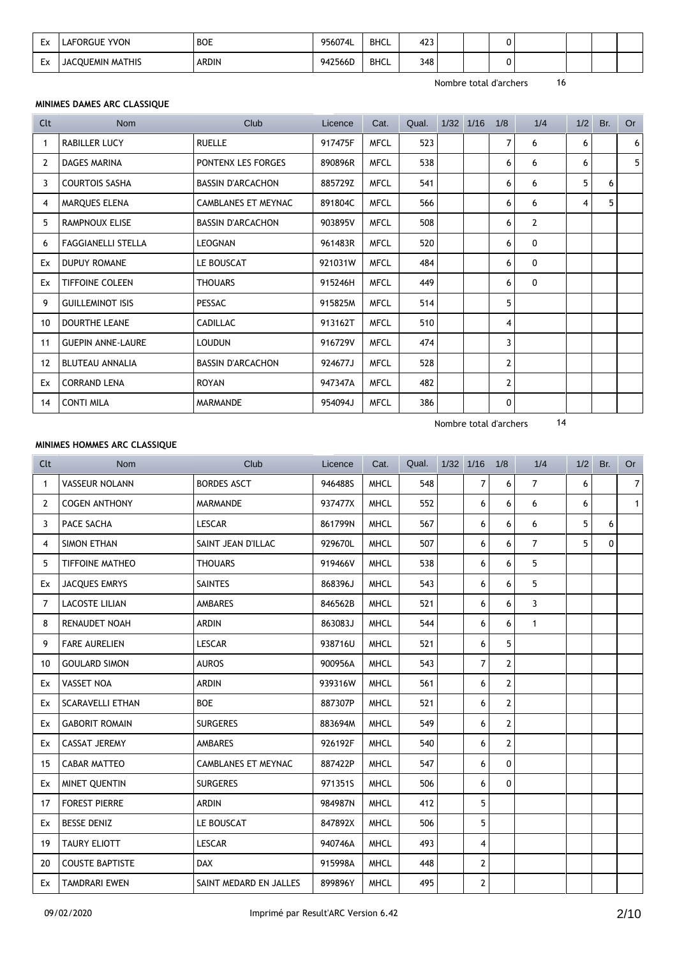| Ev<br>ᄂᄼ | <b>LAFORGUE YVON</b>    | <b>BOE</b><br>$\sim$ $\sim$ $\sim$ $\sim$ $\sim$ $\sim$ | 956074L | <b>BHCL</b> | 423<br>$\sim$ |  |  |  |  |
|----------|-------------------------|---------------------------------------------------------|---------|-------------|---------------|--|--|--|--|
| Fv.<br>ᅛ | <b>JACOUEMIN MATHIS</b> | <b>ARDIN</b>                                            | 942566D | <b>BHCL</b> | 348           |  |  |  |  |

## **MINIMES DAMES ARC CLASSIQUE**

| Clt            | <b>Nom</b>                | Club                       | Licence | Cat.        | Qual. | $1/32$ $1/16$ | 1/8            | 1/4            | 1/2 | Br. | <b>Or</b> |
|----------------|---------------------------|----------------------------|---------|-------------|-------|---------------|----------------|----------------|-----|-----|-----------|
| 1              | <b>RABILLER LUCY</b>      | <b>RUELLE</b>              | 917475F | <b>MFCL</b> | 523   |               | $\overline{7}$ | 6              | 6   |     | 6         |
| 2              | DAGES MARINA              | PONTENX LES FORGES         | 890896R | <b>MFCL</b> | 538   |               | 6              | 6              | 6   |     | 5         |
| 3              | <b>COURTOIS SASHA</b>     | <b>BASSIN D'ARCACHON</b>   | 885729Z | <b>MFCL</b> | 541   |               | 6              | 6              | 5   | 6   |           |
| $\overline{4}$ | <b>MARQUES ELENA</b>      | <b>CAMBLANES ET MEYNAC</b> | 891804C | <b>MFCL</b> | 566   |               | 6              | 6              | 4   | 5   |           |
| 5              | <b>RAMPNOUX ELISE</b>     | <b>BASSIN D'ARCACHON</b>   | 903895V | <b>MFCL</b> | 508   |               | 6              | $\overline{2}$ |     |     |           |
| 6              | <b>FAGGIANELLI STELLA</b> | LEOGNAN                    | 961483R | <b>MFCL</b> | 520   |               | 6              | 0              |     |     |           |
| Ex             | <b>DUPUY ROMANE</b>       | LE BOUSCAT                 | 921031W | <b>MFCL</b> | 484   |               | 6              | 0              |     |     |           |
| Ex             | <b>TIFFOINE COLEEN</b>    | <b>THOUARS</b>             | 915246H | <b>MFCL</b> | 449   |               | 6              | 0              |     |     |           |
| 9              | <b>GUILLEMINOT ISIS</b>   | <b>PESSAC</b>              | 915825M | <b>MFCL</b> | 514   |               | 5              |                |     |     |           |
| 10             | <b>DOURTHE LEANE</b>      | <b>CADILLAC</b>            | 913162T | <b>MFCL</b> | 510   |               | 4              |                |     |     |           |
| 11             | <b>GUEPIN ANNE-LAURE</b>  | <b>LOUDUN</b>              | 916729V | <b>MFCL</b> | 474   |               | 3              |                |     |     |           |
| 12             | <b>BLUTEAU ANNALIA</b>    | <b>BASSIN D'ARCACHON</b>   | 924677J | <b>MFCL</b> | 528   |               | $\mathbf{2}$   |                |     |     |           |
| Ex             | <b>CORRAND LENA</b>       | <b>ROYAN</b>               | 947347A | <b>MFCL</b> | 482   |               | $\mathbf{2}$   |                |     |     |           |
| 14             | <b>CONTI MILA</b>         | <b>MARMANDE</b>            | 954094J | <b>MFCL</b> | 386   |               | $\mathbf 0$    |                |     |     |           |

Nombre total d'archers 14

## **MINIMES HOMMES ARC CLASSIQUE**

| Clt            | <b>Nom</b>              | Club                       | Licence | Cat.        | Qual. | $1/32$ $1/16$ |                | 1/8            | 1/4            | 1/2 | Br.          | <b>Or</b>      |
|----------------|-------------------------|----------------------------|---------|-------------|-------|---------------|----------------|----------------|----------------|-----|--------------|----------------|
| $\mathbf{1}$   | <b>VASSEUR NOLANN</b>   | <b>BORDES ASCT</b>         | 946488S | <b>MHCL</b> | 548   |               | $\overline{7}$ | 6              | $\overline{7}$ | 6   |              | $\overline{7}$ |
| $\overline{2}$ | <b>COGEN ANTHONY</b>    | <b>MARMANDE</b>            | 937477X | <b>MHCL</b> | 552   |               | 6              | 6              | 6              | 6   |              | $\mathbf{1}$   |
| 3              | PACE SACHA              | LESCAR                     | 861799N | <b>MHCL</b> | 567   |               | 6              | 6              | 6              | 5   | 6            |                |
| 4              | <b>SIMON ETHAN</b>      | SAINT JEAN D'ILLAC         | 929670L | <b>MHCL</b> | 507   |               | 6              | 6              | $\overline{7}$ | 5   | $\mathbf{0}$ |                |
| 5              | <b>TIFFOINE MATHEO</b>  | <b>THOUARS</b>             | 919466V | <b>MHCL</b> | 538   |               | 6              | 6              | 5              |     |              |                |
| Ex             | JACQUES EMRYS           | <b>SAINTES</b>             | 868396J | <b>MHCL</b> | 543   |               | 6              | 6              | 5              |     |              |                |
| 7              | <b>LACOSTE LILIAN</b>   | <b>AMBARES</b>             | 846562B | <b>MHCL</b> | 521   |               | 6              | 6              | 3              |     |              |                |
| 8              | <b>RENAUDET NOAH</b>    | <b>ARDIN</b>               | 863083J | <b>MHCL</b> | 544   |               | 6              | 6              | $\mathbf{1}$   |     |              |                |
| 9              | <b>FARE AURELIEN</b>    | <b>LESCAR</b>              | 938716U | <b>MHCL</b> | 521   |               | 6              | 5              |                |     |              |                |
| 10             | <b>GOULARD SIMON</b>    | <b>AUROS</b>               | 900956A | <b>MHCL</b> | 543   |               | $\overline{7}$ | $\overline{2}$ |                |     |              |                |
| Ex             | <b>VASSET NOA</b>       | <b>ARDIN</b>               | 939316W | <b>MHCL</b> | 561   |               | 6              | $\overline{2}$ |                |     |              |                |
| Ex             | <b>SCARAVELLI ETHAN</b> | <b>BOE</b>                 | 887307P | <b>MHCL</b> | 521   |               | 6              | $\overline{2}$ |                |     |              |                |
| Ex             | <b>GABORIT ROMAIN</b>   | <b>SURGERES</b>            | 883694M | <b>MHCL</b> | 549   |               | 6              | $\overline{2}$ |                |     |              |                |
| Ex             | <b>CASSAT JEREMY</b>    | <b>AMBARES</b>             | 926192F | <b>MHCL</b> | 540   |               | 6              | $\mathbf{2}$   |                |     |              |                |
| 15             | <b>CABAR MATTEO</b>     | <b>CAMBLANES ET MEYNAC</b> | 887422P | <b>MHCL</b> | 547   |               | 6              | $\Omega$       |                |     |              |                |
| Ex             | MINET QUENTIN           | <b>SURGERES</b>            | 971351S | <b>MHCL</b> | 506   |               | 6              | $\mathbf{0}$   |                |     |              |                |
| 17             | <b>FOREST PIERRE</b>    | <b>ARDIN</b>               | 984987N | <b>MHCL</b> | 412   |               | 5              |                |                |     |              |                |
| Ex             | <b>BESSE DENIZ</b>      | LE BOUSCAT                 | 847892X | <b>MHCL</b> | 506   |               | 5              |                |                |     |              |                |
| 19             | <b>TAURY ELIOTT</b>     | <b>LESCAR</b>              | 940746A | <b>MHCL</b> | 493   |               | $\overline{4}$ |                |                |     |              |                |
| 20             | <b>COUSTE BAPTISTE</b>  | <b>DAX</b>                 | 915998A | <b>MHCL</b> | 448   |               | $\overline{2}$ |                |                |     |              |                |
| Ex             | <b>TAMDRARI EWEN</b>    | SAINT MEDARD EN JALLES     | 899896Y | <b>MHCL</b> | 495   |               | $\overline{2}$ |                |                |     |              |                |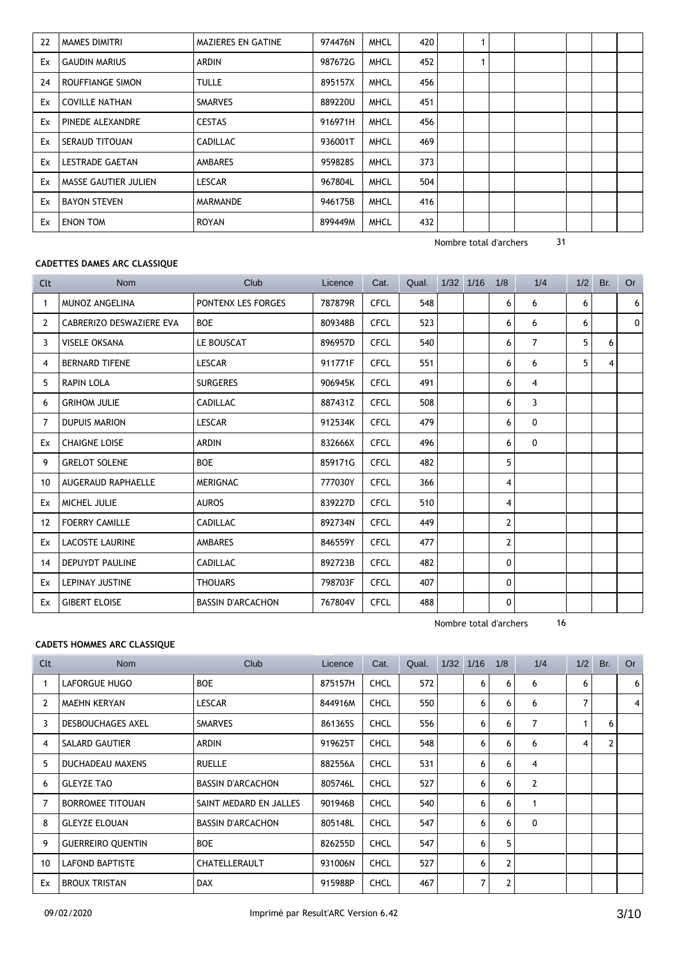| 22 | MAMES DIMITRI               | MAZIERES EN GATINE | 974476N | <b>MHCL</b> | 420 |  |  |  |  |
|----|-----------------------------|--------------------|---------|-------------|-----|--|--|--|--|
| Ex | <b>GAUDIN MARIUS</b>        | <b>ARDIN</b>       | 987672G | <b>MHCL</b> | 452 |  |  |  |  |
| 24 | ROUFFIANGE SIMON            | <b>TULLE</b>       | 895157X | <b>MHCL</b> | 456 |  |  |  |  |
| Ex | <b>COVILLE NATHAN</b>       | <b>SMARVES</b>     | 889220U | <b>MHCL</b> | 451 |  |  |  |  |
| Ex | PINEDE ALEXANDRE            | <b>CESTAS</b>      | 916971H | <b>MHCL</b> | 456 |  |  |  |  |
| Ex | SERAUD TITOUAN              | <b>CADILLAC</b>    | 936001T | <b>MHCL</b> | 469 |  |  |  |  |
| Ex | <b>LESTRADE GAETAN</b>      | <b>AMBARES</b>     | 959828S | <b>MHCL</b> | 373 |  |  |  |  |
| Ex | <b>MASSE GAUTIER JULIEN</b> | <b>LESCAR</b>      | 967804L | <b>MHCL</b> | 504 |  |  |  |  |
| Ex | <b>BAYON STEVEN</b>         | <b>MARMANDE</b>    | 946175B | <b>MHCL</b> | 416 |  |  |  |  |
| Ex | <b>ENON TOM</b>             | ROYAN              | 899449M | <b>MHCL</b> | 432 |  |  |  |  |

## **CADETTES DAMES ARC CLASSIQUE**

| Clt | <b>Nom</b>                | Club                     | Licence | Cat.        | Qual. | $1/32$ $1/16$ | 1/8                     | 1/4            | 1/2 | Br. | Or |
|-----|---------------------------|--------------------------|---------|-------------|-------|---------------|-------------------------|----------------|-----|-----|----|
| 1   | <b>MUNOZ ANGELINA</b>     | PONTENX LES FORGES       | 787879R | <b>CFCL</b> | 548   |               | 6                       | 6              | 6   |     | 6  |
| 2   | CABRERIZO DESWAZIERE EVA  | <b>BOE</b>               | 809348B | <b>CFCL</b> | 523   |               | 6                       | 6              | 6   |     | 0  |
| 3   | <b>VISELE OKSANA</b>      | LE BOUSCAT               | 896957D | <b>CFCL</b> | 540   |               | 6                       | $\overline{7}$ | 5   | 6   |    |
| 4   | <b>BERNARD TIFENE</b>     | <b>LESCAR</b>            | 911771F | <b>CFCL</b> | 551   |               | 6                       | 6              | 5   | 4   |    |
| 5   | <b>RAPIN LOLA</b>         | <b>SURGERES</b>          | 906945K | <b>CFCL</b> | 491   |               | 6                       | 4              |     |     |    |
| 6   | <b>GRIHOM JULIE</b>       | <b>CADILLAC</b>          | 887431Z | <b>CFCL</b> | 508   |               | 6                       | 3              |     |     |    |
| 7   | <b>DUPUIS MARION</b>      | <b>LESCAR</b>            | 912534K | <b>CFCL</b> | 479   |               | 6                       | 0              |     |     |    |
| Ex  | <b>CHAIGNE LOISE</b>      | <b>ARDIN</b>             | 832666X | <b>CFCL</b> | 496   |               | 6                       | 0              |     |     |    |
| 9   | <b>GRELOT SOLENE</b>      | <b>BOE</b>               | 859171G | <b>CFCL</b> | 482   |               | 5                       |                |     |     |    |
| 10  | <b>AUGERAUD RAPHAELLE</b> | <b>MERIGNAC</b>          | 777030Y | <b>CFCL</b> | 366   |               | 4                       |                |     |     |    |
| Ex  | MICHEL JULIE              | <b>AUROS</b>             | 839227D | <b>CFCL</b> | 510   |               | 4                       |                |     |     |    |
| 12  | <b>FOERRY CAMILLE</b>     | <b>CADILLAC</b>          | 892734N | <b>CFCL</b> | 449   |               | 2                       |                |     |     |    |
| Ex  | <b>LACOSTE LAURINE</b>    | <b>AMBARES</b>           | 846559Y | <b>CFCL</b> | 477   |               | $\overline{\mathbf{c}}$ |                |     |     |    |
| 14  | <b>DEPUYDT PAULINE</b>    | <b>CADILLAC</b>          | 892723B | <b>CFCL</b> | 482   |               | 0                       |                |     |     |    |
| Ex  | <b>LEPINAY JUSTINE</b>    | <b>THOUARS</b>           | 798703F | <b>CFCL</b> | 407   |               | 0                       |                |     |     |    |
| Ex  | <b>GIBERT ELOISE</b>      | <b>BASSIN D'ARCACHON</b> | 767804V | <b>CFCL</b> | 488   |               | 0                       |                |     |     |    |

Nombre total d'archers 16

## **CADETS HOMMES ARC CLASSIQUE**

| Clt | <b>Nom</b>               | Club                     | Licence | Cat.        | Qual. | 1/32 | 1/16 | 1/8            | 1/4            | 1/2 | Br. | <b>Or</b> |
|-----|--------------------------|--------------------------|---------|-------------|-------|------|------|----------------|----------------|-----|-----|-----------|
|     | LAFORGUE HUGO            | <b>BOE</b>               | 875157H | <b>CHCL</b> | 572   |      | 6    | 6              | 6              | 6   |     | 6         |
| 2   | <b>MAEHN KERYAN</b>      | <b>LESCAR</b>            | 844916M | <b>CHCL</b> | 550   |      | 6    | 6              | 6              | 7   |     | 4         |
| 3   | <b>DESBOUCHAGES AXEL</b> | <b>SMARVES</b>           | 861365S | <b>CHCL</b> | 556   |      | 6    | 6              | 7              |     | 6   |           |
| 4   | <b>SALARD GAUTIER</b>    | ARDIN                    | 919625T | <b>CHCL</b> | 548   |      | 6    | 6              | 6              | 4   | 2   |           |
| 5   | DUCHADEAU MAXENS         | <b>RUELLE</b>            | 882556A | <b>CHCL</b> | 531   |      | 6    | 6              | $\overline{4}$ |     |     |           |
| 6   | <b>GLEYZE TAO</b>        | <b>BASSIN D'ARCACHON</b> | 805746L | <b>CHCL</b> | 527   |      | 6    | 6              | $\overline{2}$ |     |     |           |
|     | <b>BORROMEE TITOUAN</b>  | SAINT MEDARD EN JALLES   | 901946B | <b>CHCL</b> | 540   |      | 6    | 6              | 1              |     |     |           |
| 8   | <b>GLEYZE ELOUAN</b>     | <b>BASSIN D'ARCACHON</b> | 805148L | <b>CHCL</b> | 547   |      | 6    | 6              | $\mathbf{0}$   |     |     |           |
| 9   | <b>GUERREIRO QUENTIN</b> | <b>BOE</b>               | 826255D | <b>CHCL</b> | 547   |      | 6    | 5              |                |     |     |           |
| 10  | <b>LAFOND BAPTISTE</b>   | CHATELLERAULT            | 931006N | <b>CHCL</b> | 527   |      | 6    | 2              |                |     |     |           |
| Ex  | <b>BROUX TRISTAN</b>     | <b>DAX</b>               | 915988P | <b>CHCL</b> | 467   |      | 7    | $\overline{2}$ |                |     |     |           |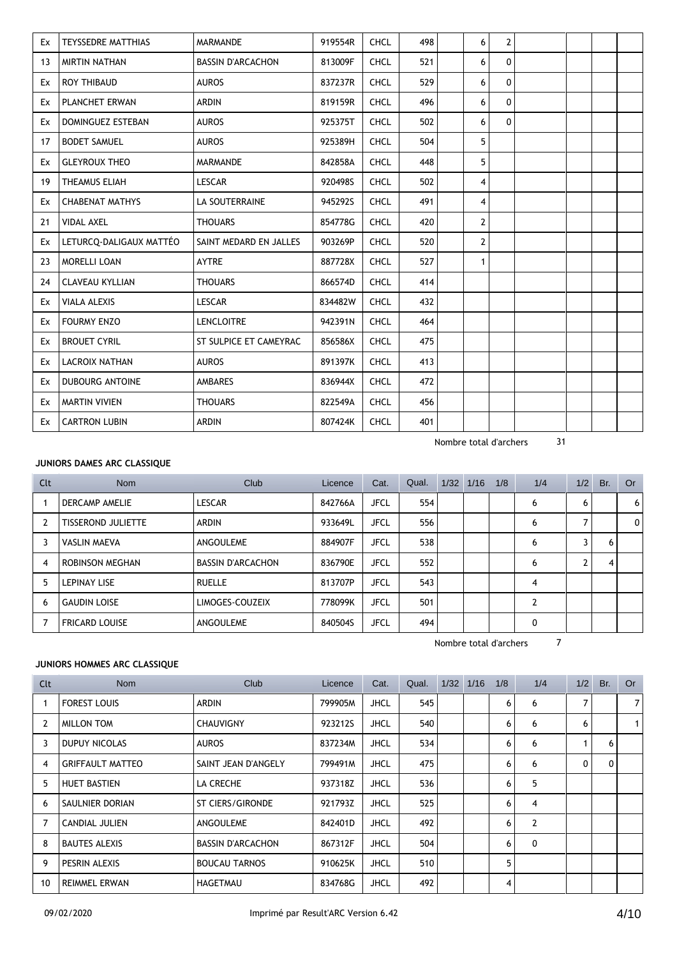| Ex | <b>TEYSSEDRE MATTHIAS</b> | MARMANDE                 | 919554R | <b>CHCL</b> | 498 | 6              | 2            |  |  |
|----|---------------------------|--------------------------|---------|-------------|-----|----------------|--------------|--|--|
| 13 | <b>MIRTIN NATHAN</b>      | <b>BASSIN D'ARCACHON</b> | 813009F | <b>CHCL</b> | 521 | 6              | $\mathbf{0}$ |  |  |
| Ex | <b>ROY THIBAUD</b>        | <b>AUROS</b>             | 837237R | <b>CHCL</b> | 529 | 6              | $\mathbf{0}$ |  |  |
| Ex | PLANCHET ERWAN            | <b>ARDIN</b>             | 819159R | <b>CHCL</b> | 496 | 6              | 0            |  |  |
| Ex | DOMINGUEZ ESTEBAN         | <b>AUROS</b>             | 925375T | <b>CHCL</b> | 502 | 6              | $\mathbf{0}$ |  |  |
| 17 | <b>BODET SAMUEL</b>       | <b>AUROS</b>             | 925389H | <b>CHCL</b> | 504 | 5              |              |  |  |
| Ex | <b>GLEYROUX THEO</b>      | <b>MARMANDE</b>          | 842858A | <b>CHCL</b> | 448 | 5              |              |  |  |
| 19 | THEAMUS ELIAH             | <b>LESCAR</b>            | 920498S | <b>CHCL</b> | 502 | 4              |              |  |  |
| Ex | <b>CHABENAT MATHYS</b>    | LA SOUTERRAINE           | 945292S | <b>CHCL</b> | 491 | 4              |              |  |  |
| 21 | <b>VIDAL AXEL</b>         | <b>THOUARS</b>           | 854778G | <b>CHCL</b> | 420 | $\overline{2}$ |              |  |  |
| Ex | LETURCQ-DALIGAUX MATTÉO   | SAINT MEDARD EN JALLES   | 903269P | <b>CHCL</b> | 520 | $\overline{2}$ |              |  |  |
| 23 | <b>MORELLI LOAN</b>       | <b>AYTRE</b>             | 887728X | <b>CHCL</b> | 527 | $\mathbf{1}$   |              |  |  |
| 24 | <b>CLAVEAU KYLLIAN</b>    | <b>THOUARS</b>           | 866574D | <b>CHCL</b> | 414 |                |              |  |  |
| Ex | <b>VIALA ALEXIS</b>       | <b>LESCAR</b>            | 834482W | <b>CHCL</b> | 432 |                |              |  |  |
| Ex | <b>FOURMY ENZO</b>        | <b>LENCLOITRE</b>        | 942391N | <b>CHCL</b> | 464 |                |              |  |  |
| Ex | <b>BROUET CYRIL</b>       | ST SULPICE ET CAMEYRAC   | 856586X | <b>CHCL</b> | 475 |                |              |  |  |
| Ex | <b>LACROIX NATHAN</b>     | <b>AUROS</b>             | 891397K | <b>CHCL</b> | 413 |                |              |  |  |
| Ex | <b>DUBOURG ANTOINE</b>    | AMBARES                  | 836944X | <b>CHCL</b> | 472 |                |              |  |  |
| Ex | <b>MARTIN VIVIEN</b>      | <b>THOUARS</b>           | 822549A | <b>CHCL</b> | 456 |                |              |  |  |
| Ex | <b>CARTRON LUBIN</b>      | <b>ARDIN</b>             | 807424K | <b>CHCL</b> | 401 |                |              |  |  |

# **JUNIORS DAMES ARC CLASSIQUE**

| Clt | <b>Nom</b>                | Club                     | Licence | Cat.        | Qual. | $1/32$ $1/16$ | 1/8 | 1/4 | 1/2 | Br. | Or             |
|-----|---------------------------|--------------------------|---------|-------------|-------|---------------|-----|-----|-----|-----|----------------|
|     | DERCAMP AMELIE            | <b>LESCAR</b>            | 842766A | <b>JFCL</b> | 554   |               |     | 6   | 6   |     | 6 <sup>1</sup> |
|     | <b>TISSEROND JULIETTE</b> | ARDIN                    | 933649L | <b>JFCL</b> | 556   |               |     | 6   |     |     | 0 <sup>1</sup> |
| 3   | <b>VASLIN MAEVA</b>       | ANGOULEME                | 884907F | <b>JFCL</b> | 538   |               |     | 6   | 3   | 6   |                |
| 4   | ROBINSON MEGHAN           | <b>BASSIN D'ARCACHON</b> | 836790E | <b>JFCL</b> | 552   |               |     | 6   |     |     |                |
| 5   | <b>LEPINAY LISE</b>       | <b>RUELLE</b>            | 813707P | <b>JFCL</b> | 543   |               |     | 4   |     |     |                |
| 6   | <b>GAUDIN LOISE</b>       | LIMOGES-COUZEIX          | 778099K | <b>JFCL</b> | 501   |               |     | C   |     |     |                |
|     | <b>FRICARD LOUISE</b>     | ANGOULEME                | 840504S | <b>JFCL</b> | 494   |               |     | 0   |     |     |                |

Nombre total d'archers 7

# **JUNIORS HOMMES ARC CLASSIQUE**

| Clt            | Nom                     | Club                     | Licence | Cat.        | Qual. | $1/32$ 1/16 | 1/8 | 1/4            |              | $1/2$ Br. | <b>Or</b>      |
|----------------|-------------------------|--------------------------|---------|-------------|-------|-------------|-----|----------------|--------------|-----------|----------------|
|                | <b>FOREST LOUIS</b>     | ARDIN                    | 799905M | <b>JHCL</b> | 545   |             | 6   | 6              |              |           | $\overline{7}$ |
| 2              | <b>MILLON TOM</b>       | <b>CHAUVIGNY</b>         | 923212S | <b>JHCL</b> | 540   |             | 6   | 6              | 6            |           | $\mathbf{1}$   |
| 3              | DUPUY NICOLAS           | <b>AUROS</b>             | 837234M | <b>JHCL</b> | 534   |             | 6   | 6              |              | 6         |                |
| $\overline{4}$ | <b>GRIFFAULT MATTEO</b> | SAINT JEAN D'ANGELY      | 799491M | <b>JHCL</b> | 475   |             | 6   | 6              | $\mathbf{0}$ | $\Omega$  |                |
| 5              | <b>HUET BASTIEN</b>     | LA CRECHE                | 937318Z | <b>JHCL</b> | 536   |             | 6   | 5              |              |           |                |
| 6              | SAULNIER DORIAN         | ST CIERS/GIRONDE         | 921793Z | <b>JHCL</b> | 525   |             | 6   | 4              |              |           |                |
| 7              | CANDIAL JULIEN          | ANGOULEME                | 842401D | <b>JHCL</b> | 492   |             | 6   | $\overline{2}$ |              |           |                |
| 8              | <b>BAUTES ALEXIS</b>    | <b>BASSIN D'ARCACHON</b> | 867312F | <b>JHCL</b> | 504   |             | 6   | 0              |              |           |                |
| 9              | PESRIN ALEXIS           | <b>BOUCAU TARNOS</b>     | 910625K | <b>JHCL</b> | 510   |             | 5   |                |              |           |                |
| 10             | <b>REIMMEL ERWAN</b>    | HAGETMAU                 | 834768G | <b>JHCL</b> | 492   |             | 4   |                |              |           |                |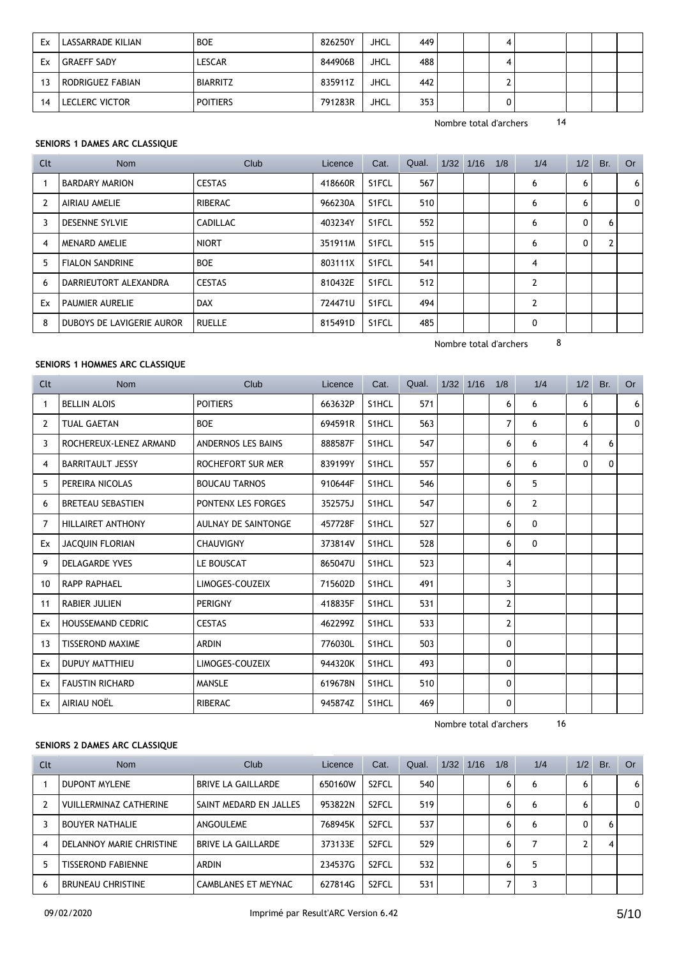| Ex | LASSARRADE KILIAN  | <b>BOE</b>      | 826250Y | JHCL        | 449 |  |  |  |  |
|----|--------------------|-----------------|---------|-------------|-----|--|--|--|--|
| Ex | <b>GRAEFF SADY</b> | <b>LESCAR</b>   | 844906B | <b>JHCL</b> | 488 |  |  |  |  |
| 13 | RODRIGUEZ FABIAN   | <b>BIARRITZ</b> | 835911Z | JHCL        | 442 |  |  |  |  |
| 14 | LECLERC VICTOR     | <b>POITIERS</b> | 791283R | <b>JHCL</b> | 353 |  |  |  |  |

## **SENIORS 1 DAMES ARC CLASSIQUE**

| Clt            | <b>Nom</b>                | Club            | Licence | Cat.  | Qual. | $1/32$ $1/16$ | 1/8 | 1/4            | 1/2 | Br. | Or |
|----------------|---------------------------|-----------------|---------|-------|-------|---------------|-----|----------------|-----|-----|----|
|                | <b>BARDARY MARION</b>     | <b>CESTAS</b>   | 418660R | S1FCL | 567   |               |     | 6              | 6   |     | 6  |
| $\overline{2}$ | AIRIAU AMELIE             | <b>RIBERAC</b>  | 966230A | S1FCL | 510   |               |     | 6              | 6   |     | 0  |
| 3              | <b>DESENNE SYLVIE</b>     | <b>CADILLAC</b> | 403234Y | S1FCL | 552   |               |     | 6              | 0   | 6   |    |
| 4              | MENARD AMELIE             | <b>NIORT</b>    | 351911M | S1FCL | 515   |               |     | 6              | 0   | 2   |    |
| 5              | <b>FIALON SANDRINE</b>    | <b>BOE</b>      | 803111X | S1FCL | 541   |               |     | 4              |     |     |    |
| 6              | DARRIEUTORT ALEXANDRA     | <b>CESTAS</b>   | 810432E | S1FCL | 512   |               |     | $\overline{2}$ |     |     |    |
| Ex             | <b>PAUMIER AURELIE</b>    | <b>DAX</b>      | 724471U | S1FCL | 494   |               |     | $\overline{2}$ |     |     |    |
| 8              | DUBOYS DE LAVIGERIE AUROR | <b>RUELLE</b>   | 815491D | S1FCL | 485   |               |     | 0              |     |     |    |

Nombre total d'archers 8

## **SENIORS 1 HOMMES ARC CLASSIQUE**

| Clt            | <b>Nom</b>               | Club                       | Licence | Cat.  | Qual. | $1/32$ $1/16$ | 1/8            | 1/4            | 1/2 | Br.      | <b>Or</b> |
|----------------|--------------------------|----------------------------|---------|-------|-------|---------------|----------------|----------------|-----|----------|-----------|
| 1              | <b>BELLIN ALOIS</b>      | <b>POITIERS</b>            | 663632P | S1HCL | 571   |               | 6              | 6              | 6   |          | 6         |
| 2              | <b>TUAL GAETAN</b>       | <b>BOE</b>                 | 694591R | S1HCL | 563   |               | $\overline{7}$ | 6              | 6   |          | 0         |
| 3              | ROCHEREUX-LENEZ ARMAND   | ANDERNOS LES BAINS         | 888587F | S1HCL | 547   |               | 6              | 6              | 4   | 6        |           |
| 4              | <b>BARRITAULT JESSY</b>  | ROCHEFORT SUR MER          | 839199Y | S1HCL | 557   |               | 6              | 6              | 0   | $\Omega$ |           |
| 5              | PEREIRA NICOLAS          | <b>BOUCAU TARNOS</b>       | 910644F | S1HCL | 546   |               | 6              | 5              |     |          |           |
| 6              | <b>BRETEAU SEBASTIEN</b> | PONTENX LES FORGES         | 352575J | S1HCL | 547   |               | 6              | $\overline{2}$ |     |          |           |
| $\overline{7}$ | <b>HILLAIRET ANTHONY</b> | <b>AULNAY DE SAINTONGE</b> | 457728F | S1HCL | 527   |               | 6              | $\mathbf{0}$   |     |          |           |
| Ex             | <b>JACQUIN FLORIAN</b>   | <b>CHAUVIGNY</b>           | 373814V | S1HCL | 528   |               | 6              | 0              |     |          |           |
| 9              | <b>DELAGARDE YVES</b>    | LE BOUSCAT                 | 865047U | S1HCL | 523   |               | 4              |                |     |          |           |
| 10             | <b>RAPP RAPHAEL</b>      | LIMOGES-COUZEIX            | 715602D | S1HCL | 491   |               | 3              |                |     |          |           |
| 11             | <b>RABIER JULIEN</b>     | <b>PERIGNY</b>             | 418835F | S1HCL | 531   |               | 2              |                |     |          |           |
| Ex             | <b>HOUSSEMAND CEDRIC</b> | <b>CESTAS</b>              | 462299Z | S1HCL | 533   |               | $\overline{2}$ |                |     |          |           |
| 13             | <b>TISSEROND MAXIME</b>  | <b>ARDIN</b>               | 776030L | S1HCL | 503   |               | 0              |                |     |          |           |
| Ex             | DUPUY MATTHIEU           | LIMOGES-COUZEIX            | 944320K | S1HCL | 493   |               | 0              |                |     |          |           |
| Ex             | <b>FAUSTIN RICHARD</b>   | <b>MANSLE</b>              | 619678N | S1HCL | 510   |               | 0              |                |     |          |           |
| Ex             | AIRIAU NOËL              | <b>RIBERAC</b>             | 945874Z | S1HCL | 469   |               | 0              |                |     |          |           |

Nombre total d'archers 16

# **SENIORS 2 DAMES ARC CLASSIQUE**

| Clt | <b>Nom</b>                    | Club                   | Licence | Cat.               | Qual. | 1/32 | 1/16 | 1/8 | 1/4 | 1/2 | Br. | Or .         |
|-----|-------------------------------|------------------------|---------|--------------------|-------|------|------|-----|-----|-----|-----|--------------|
|     | <b>DUPONT MYLENE</b>          | BRIVE LA GAILLARDE     | 650160W | S <sub>2</sub> FCL | 540   |      |      | 6   | 6   | 6   |     | 6            |
|     | <b>VUILLERMINAZ CATHERINE</b> | SAINT MEDARD EN JALLES | 953822N | S <sub>2</sub> FCL | 519   |      |      | 6   | 6   | 6   |     | $\mathbf{0}$ |
|     | <b>BOUYER NATHALIE</b>        | ANGOULEME              | 768945K | S <sub>2</sub> FCL | 537   |      |      | 6   | 6   |     | 6   |              |
| 4   | DELANNOY MARIE CHRISTINE      | BRIVE LA GAILLARDE     | 373133E | S <sub>2</sub> FCL | 529   |      |      | 6   |     |     |     |              |
|     | <b>TISSEROND FABIENNE</b>     | ARDIN                  | 234537G | S <sub>2</sub> FCL | 532   |      |      | 6   | 5   |     |     |              |
| 6   | <b>BRUNEAU CHRISTINE</b>      | CAMBLANES ET MEYNAC    | 627814G | S <sub>2</sub> FCL | 531   |      |      |     | ٦   |     |     |              |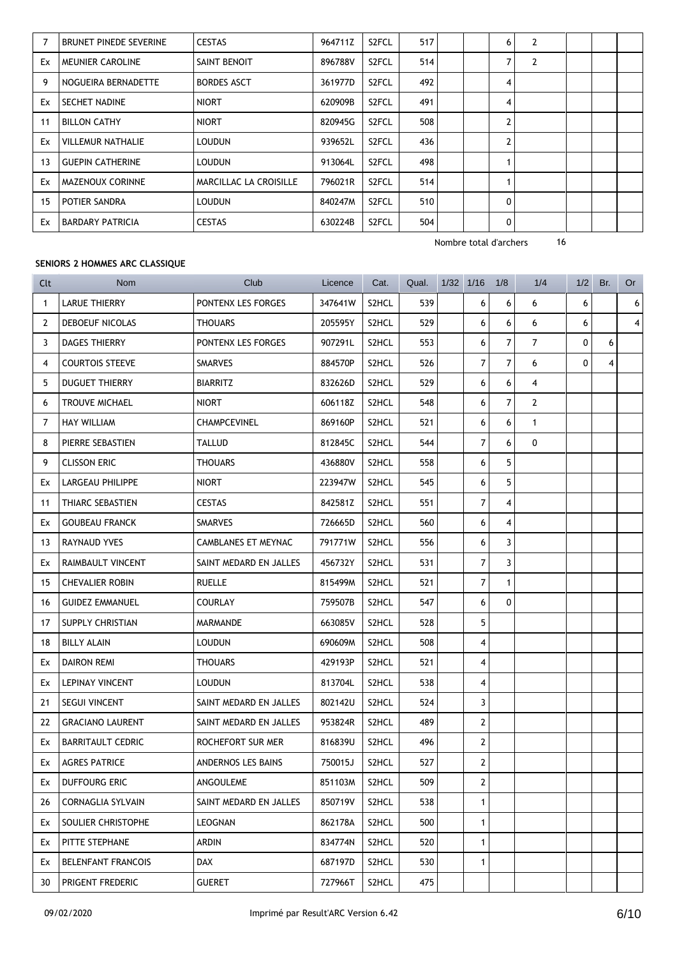|    | <b>BRUNET PINEDE SEVERINE</b> | <b>CESTAS</b>          | 964711Z | S <sub>2</sub> FCL | 517 | 6              | $\overline{2}$ |  |  |
|----|-------------------------------|------------------------|---------|--------------------|-----|----------------|----------------|--|--|
| Ex | <b>MEUNIER CAROLINE</b>       | SAINT BENOIT           | 896788V | S <sub>2</sub> FCL | 514 | 7              | 2              |  |  |
| 9  | NOGUEIRA BERNADETTE           | <b>BORDES ASCT</b>     | 361977D | S <sub>2</sub> FCL | 492 | 4              |                |  |  |
| Ex | SECHET NADINE                 | <b>NIORT</b>           | 620909B | S <sub>2</sub> FCL | 491 | 4              |                |  |  |
| 11 | <b>BILLON CATHY</b>           | <b>NIORT</b>           | 820945G | S <sub>2</sub> FCL | 508 | 2              |                |  |  |
| Ex | <b>VILLEMUR NATHALIE</b>      | <b>LOUDUN</b>          | 939652L | S <sub>2</sub> FCL | 436 | $\overline{2}$ |                |  |  |
| 13 | <b>GUEPIN CATHERINE</b>       | <b>LOUDUN</b>          | 913064L | S <sub>2</sub> FCL | 498 | 4              |                |  |  |
| Ex | MAZENOUX CORINNE              | MARCILLAC LA CROISILLE | 796021R | S <sub>2</sub> FCL | 514 |                |                |  |  |
| 15 | POTIER SANDRA                 | <b>LOUDUN</b>          | 840247M | S <sub>2</sub> FCL | 510 | 0              |                |  |  |
| Ex | <b>BARDARY PATRICIA</b>       | <b>CESTAS</b>          | 630224B | S <sub>2</sub> FCL | 504 | $\Omega$       |                |  |  |

## **SENIORS 2 HOMMES ARC CLASSIQUE**

| Clt | <b>Nom</b>                | Club                   | Licence | Cat.               | Qual. | $1/32$ $1/16$ |                | 1/8            | 1/4            | 1/2 | Br. | Or        |
|-----|---------------------------|------------------------|---------|--------------------|-------|---------------|----------------|----------------|----------------|-----|-----|-----------|
| 1   | <b>LARUE THIERRY</b>      | PONTENX LES FORGES     | 347641W | S2HCL              | 539   |               | 6              | 6              | 6              | 6   |     | $6 \mid$  |
| 2   | DEBOEUF NICOLAS           | <b>THOUARS</b>         | 205595Y | S2HCL              | 529   |               | 6              | 6              | 6              | 6   |     | $\vert$ 4 |
| 3   | <b>DAGES THIERRY</b>      | PONTENX LES FORGES     | 907291L | S2HCL              | 553   |               | 6              | $\overline{7}$ | $\overline{7}$ | 0   | 6   |           |
| 4   | <b>COURTOIS STEEVE</b>    | <b>SMARVES</b>         | 884570P | S2HCL              | 526   |               | $\overline{7}$ | $\overline{7}$ | 6              | 0   | 4   |           |
| 5   | <b>DUGUET THIERRY</b>     | <b>BIARRITZ</b>        | 832626D | S2HCL              | 529   |               | 6              | 6              | $\overline{4}$ |     |     |           |
| 6   | <b>TROUVE MICHAEL</b>     | <b>NIORT</b>           | 606118Z | S2HCL              | 548   |               | 6              | $\overline{7}$ | $\overline{2}$ |     |     |           |
| 7   | <b>HAY WILLIAM</b>        | CHAMPCEVINEL           | 869160P | S2HCL              | 521   |               | 6              | 6              | $\mathbf{1}$   |     |     |           |
| 8   | PIERRE SEBASTIEN          | TALLUD                 | 812845C | S2HCL              | 544   |               | 7              | 6              | 0              |     |     |           |
| 9   | <b>CLISSON ERIC</b>       | <b>THOUARS</b>         | 436880V | S2HCL              | 558   |               | 6              | 5              |                |     |     |           |
| Ex  | LARGEAU PHILIPPE          | <b>NIORT</b>           | 223947W | S2HCL              | 545   |               | 6              | 5              |                |     |     |           |
| 11  | THIARC SEBASTIEN          | <b>CESTAS</b>          | 842581Z | S2HCL              | 551   |               | $\overline{7}$ | $\overline{4}$ |                |     |     |           |
| Ex  | <b>GOUBEAU FRANCK</b>     | <b>SMARVES</b>         | 726665D | S2HCL              | 560   |               | 6              | $\overline{4}$ |                |     |     |           |
| 13  | RAYNAUD YVES              | CAMBLANES ET MEYNAC    | 791771W | S <sub>2</sub> HCL | 556   |               | 6              | 3              |                |     |     |           |
| Ex  | RAIMBAULT VINCENT         | SAINT MEDARD EN JALLES | 456732Y | S2HCL              | 531   |               | 7              | 3              |                |     |     |           |
| 15  | <b>CHEVALIER ROBIN</b>    | <b>RUELLE</b>          | 815499M | S2HCL              | 521   |               | 7              | $\mathbf{1}$   |                |     |     |           |
| 16  | <b>GUIDEZ EMMANUEL</b>    | <b>COURLAY</b>         | 759507B | S <sub>2</sub> HCL | 547   |               | 6              | 0              |                |     |     |           |
| 17  | SUPPLY CHRISTIAN          | MARMANDE               | 663085V | S2HCL              | 528   |               | 5              |                |                |     |     |           |
| 18  | <b>BILLY ALAIN</b>        | <b>LOUDUN</b>          | 690609M | S2HCL              | 508   |               | 4              |                |                |     |     |           |
| Ex  | <b>DAIRON REMI</b>        | <b>THOUARS</b>         | 429193P | S2HCL              | 521   |               | 4              |                |                |     |     |           |
| Ex  | LEPINAY VINCENT           | <b>LOUDUN</b>          | 813704L | S2HCL              | 538   |               | 4              |                |                |     |     |           |
| 21  | <b>SEGUI VINCENT</b>      | SAINT MEDARD EN JALLES | 802142U | S2HCL              | 524   |               | 3              |                |                |     |     |           |
| 22  | <b>GRACIANO LAURENT</b>   | SAINT MEDARD EN JALLES | 953824R | S2HCL              | 489   |               | $\mathbf{2}$   |                |                |     |     |           |
| Ex  | <b>BARRITAULT CEDRIC</b>  | ROCHEFORT SUR MER      | 816839U | S2HCL              | 496   |               | $\mathbf{2}$   |                |                |     |     |           |
| Ex  | <b>AGRES PATRICE</b>      | ANDERNOS LES BAINS     | 750015J | S2HCL              | 527   |               | 2              |                |                |     |     |           |
| Ex  | DUFFOURG ERIC             | ANGOULEME              | 851103M | S2HCL              | 509   |               | 2              |                |                |     |     |           |
| 26  | <b>CORNAGLIA SYLVAIN</b>  | SAINT MEDARD EN JALLES | 850719V | S2HCL              | 538   |               | $\mathbf{1}$   |                |                |     |     |           |
| Ex  | SOULIER CHRISTOPHE        | LEOGNAN                | 862178A | S2HCL              | 500   |               | $\mathbf{1}$   |                |                |     |     |           |
| Ex  | PITTE STEPHANE            | ARDIN                  | 834774N | S2HCL              | 520   |               | $\mathbf{1}$   |                |                |     |     |           |
| Ex  | <b>BELENFANT FRANCOIS</b> | DAX                    | 687197D | S2HCL              | 530   |               | $\mathbf{1}$   |                |                |     |     |           |
| 30  | PRIGENT FREDERIC          | <b>GUERET</b>          | 727966T | S2HCL              | 475   |               |                |                |                |     |     |           |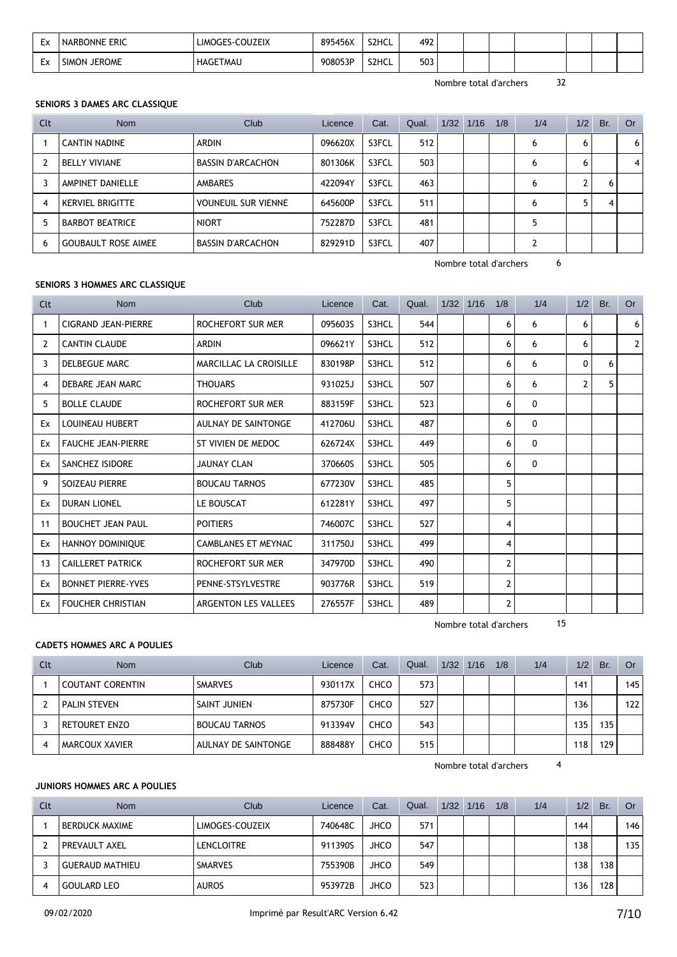| Ex | <b>NARBONNE ERIC</b>          | LIMOGES-COUZEIX | 895456X | S2HCL | 492 |  |  |  |  |
|----|-------------------------------|-----------------|---------|-------|-----|--|--|--|--|
| Ex | <b>JEROME</b><br><b>SIMON</b> | <b>HAGETMAU</b> | 908053P | S2HCL | 503 |  |  |  |  |

### **SENIORS 3 DAMES ARC CLASSIQUE**

| Clt | <b>Nom</b>                 | Club                       | Licence | Cat.  | Qual. | 1/32 | 1/16 | 1/8 | 1/4 | 1/2 | Br. | 0r |
|-----|----------------------------|----------------------------|---------|-------|-------|------|------|-----|-----|-----|-----|----|
|     | <b>CANTIN NADINE</b>       | <b>ARDIN</b>               | 096620X | S3FCL | 512   |      |      |     | 6   | 6   |     | 6  |
|     | <b>BELLY VIVIANE</b>       | <b>BASSIN D'ARCACHON</b>   | 801306K | S3FCL | 503   |      |      |     | 6   | 6   |     | 4  |
|     | AMPINET DANIELLE           | <b>AMBARES</b>             | 422094Y | S3FCL | 463   |      |      |     | 6   |     | b   |    |
| 4   | <b>KERVIEL BRIGITTE</b>    | <b>VOUNEUIL SUR VIENNE</b> | 645600P | S3FCL | 511   |      |      |     | 6   |     |     |    |
| 5   | <b>BARBOT BEATRICE</b>     | <b>NIORT</b>               | 752287D | S3FCL | 481   |      |      |     |     |     |     |    |
| 6   | <b>GOUBAULT ROSE AIMEE</b> | <b>BASSIN D'ARCACHON</b>   | 829291D | S3FCL | 407   |      |      |     |     |     |     |    |

Nombre total d'archers 6

# **SENIORS 3 HOMMES ARC CLASSIQUE**

| Clt            | <b>Nom</b>                | Club                          | Licence | Cat.  | Qual. | $1/32$ $1/16$ | 1/8            | 1/4          | 1/2            | Br. | <b>Or</b>      |
|----------------|---------------------------|-------------------------------|---------|-------|-------|---------------|----------------|--------------|----------------|-----|----------------|
| 1              | CIGRAND JEAN-PIERRE       | <b>ROCHEFORT SUR MER</b>      | 095603S | S3HCL | 544   |               | 6              | 6            | 6              |     | 6 <sup>1</sup> |
| $\overline{2}$ | <b>CANTIN CLAUDE</b>      | <b>ARDIN</b>                  | 096621Y | S3HCL | 512   |               | 6              | 6            | 6              |     | 2 <sup>1</sup> |
| 3              | <b>DELBEGUE MARC</b>      | <b>MARCILLAC LA CROISILLE</b> | 830198P | S3HCL | 512   |               | 6              | 6            | $\mathbf{0}$   | 6   |                |
| 4              | DEBARE JEAN MARC          | <b>THOUARS</b>                | 931025J | S3HCL | 507   |               | 6              | 6            | $\overline{2}$ | 5   |                |
| 5              | <b>BOLLE CLAUDE</b>       | ROCHEFORT SUR MER             | 883159F | S3HCL | 523   |               | 6              | 0            |                |     |                |
| Ex             | <b>LOUINEAU HUBERT</b>    | AULNAY DE SAINTONGE           | 412706U | S3HCL | 487   |               | 6              | $\mathbf{0}$ |                |     |                |
| Ex             | <b>FAUCHE JEAN-PIERRE</b> | ST VIVIEN DE MEDOC            | 626724X | S3HCL | 449   |               | 6              | $\mathbf{0}$ |                |     |                |
| Ex             | <b>SANCHEZ ISIDORE</b>    | <b>JAUNAY CLAN</b>            | 370660S | S3HCL | 505   |               | 6              | $\mathbf{0}$ |                |     |                |
| 9              | <b>SOIZEAU PIERRE</b>     | <b>BOUCAU TARNOS</b>          | 677230V | S3HCL | 485   |               | 5              |              |                |     |                |
| Ex             | <b>DURAN LIONEL</b>       | LE BOUSCAT                    | 612281Y | S3HCL | 497   |               | 5              |              |                |     |                |
| 11             | <b>BOUCHET JEAN PAUL</b>  | <b>POITIERS</b>               | 746007C | S3HCL | 527   |               | 4              |              |                |     |                |
| Ex             | <b>HANNOY DOMINIQUE</b>   | <b>CAMBLANES ET MEYNAC</b>    | 311750J | S3HCL | 499   |               | 4              |              |                |     |                |
| 13             | <b>CAILLERET PATRICK</b>  | ROCHEFORT SUR MER             | 347970D | S3HCL | 490   |               | $\overline{2}$ |              |                |     |                |
| Ex             | <b>BONNET PIERRE-YVES</b> | PENNE-STSYLVESTRE             | 903776R | S3HCL | 519   |               | $\overline{2}$ |              |                |     |                |
| Ex             | <b>FOUCHER CHRISTIAN</b>  | ARGENTON LES VALLEES          | 276557F | S3HCL | 489   |               | $\overline{2}$ |              |                |     |                |

Nombre total d'archers 15

# **CADETS HOMMES ARC A POULIES**

| Clt | <b>Nom</b>              | Club                | Licence | Cat.        | Qual. | 1/32 | 1/16 | 1/8 | 1/4 | 1/2 | Br. | <b>Or</b> |
|-----|-------------------------|---------------------|---------|-------------|-------|------|------|-----|-----|-----|-----|-----------|
|     | <b>COUTANT CORENTIN</b> | <b>SMARVES</b>      | 930117X | <b>CHCO</b> | 573   |      |      |     |     | 141 |     | 145       |
|     | <b>PALIN STEVEN</b>     | SAINT JUNIEN        | 875730F | <b>CHCO</b> | 527   |      |      |     |     | 136 |     | 122       |
|     | <b>RETOURET ENZO</b>    | BOUCAU TARNOS       | 913394V | <b>CHCO</b> | 543   |      |      |     |     | 135 | 135 |           |
|     | MARCOUX XAVIER          | AULNAY DE SAINTONGE | 888488Y | <b>CHCO</b> | 515   |      |      |     |     | 18  | 129 |           |

Nombre total d'archers 4

# **JUNIORS HOMMES ARC A POULIES**

| Clt | <b>Nom</b>             | Club              | Licence | Cat.        | Qual. | 1/32 | 1/16 | 1/8 | 1/4 | 1/2 | Br. | Or  |
|-----|------------------------|-------------------|---------|-------------|-------|------|------|-----|-----|-----|-----|-----|
|     | <b>BERDUCK MAXIME</b>  | LIMOGES-COUZEIX   | 740648C | <b>JHCO</b> | 571   |      |      |     |     | 144 |     | 146 |
|     | PREVAULT AXEL          | <b>LENCLOITRE</b> | 911390S | <b>JHCO</b> | 547   |      |      |     |     | 138 |     | 135 |
|     | <b>GUERAUD MATHIEU</b> | <b>SMARVES</b>    | 755390B | <b>JHCO</b> | 549   |      |      |     |     | 138 | 138 |     |
|     | <b>GOULARD LEO</b>     | <b>AUROS</b>      | 953972B | <b>JHCO</b> | 523   |      |      |     |     | 136 | 128 |     |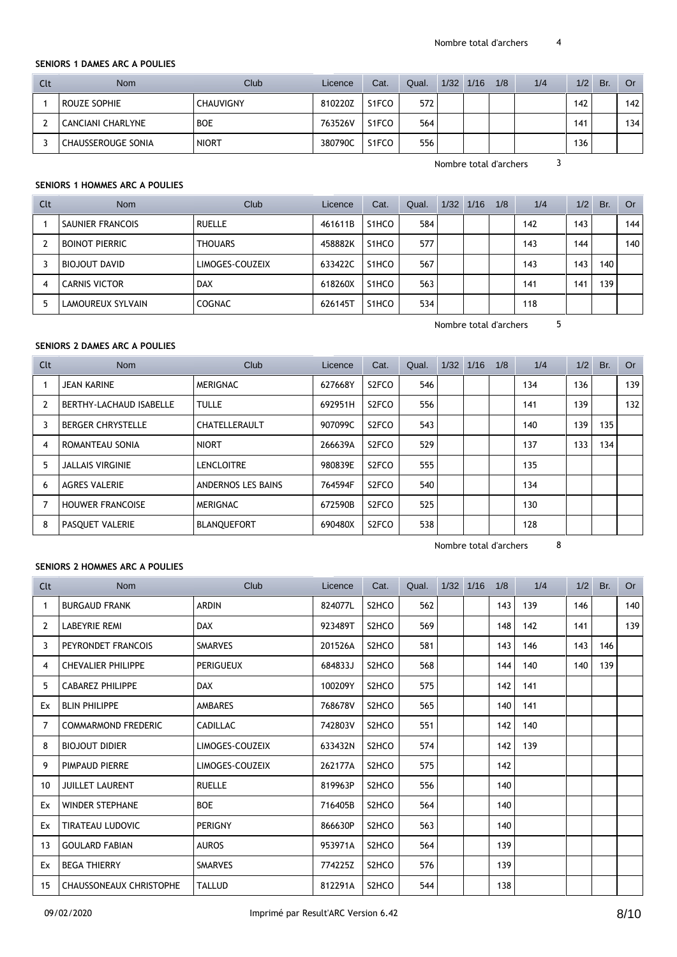#### **SENIORS 1 DAMES ARC A POULIES**

| Clt | <b>Nom</b>                | Club             | Licence | Cat.               | Qual. | 1/32 | 1/16 | 1/8 | 1/4 | 1/2              | Br. | Or  |
|-----|---------------------------|------------------|---------|--------------------|-------|------|------|-----|-----|------------------|-----|-----|
|     | <b>ROUZE SOPHIE</b>       | <b>CHAUVIGNY</b> | 810220Z | S1FCO              | 572   |      |      |     |     | 142              |     | 142 |
|     | CANCIANI CHARLYNE         | <b>BOE</b>       | 763526V | S <sub>1</sub> FCO | 564   |      |      |     |     | 141              |     | 134 |
|     | <b>CHAUSSEROUGE SONIA</b> | <b>NIORT</b>     | 380790C | S <sub>1</sub> FCO | 556   |      |      |     |     | 136 <sub>1</sub> |     |     |

Nombre total d'archers 3

#### **SENIORS 1 HOMMES ARC A POULIES**

| Clt | <b>Nom</b>              | Club            | Licence | Cat.               | Qual. | 1/32 | 1/16 | 1/8 | 1/4 | 1/2  | Br. | Or  |
|-----|-------------------------|-----------------|---------|--------------------|-------|------|------|-----|-----|------|-----|-----|
|     | <b>SAUNIER FRANCOIS</b> | <b>RUELLE</b>   | 461611B | S <sub>1</sub> HCO | 584   |      |      |     | 142 | 143. |     | 144 |
| 2   | <b>BOINOT PIERRIC</b>   | <b>THOUARS</b>  | 458882K | S <sub>1</sub> HCO | 577   |      |      |     | 143 | 144  |     | 140 |
|     | BIOJOUT DAVID           | LIMOGES-COUZEIX | 633422C | S <sub>1</sub> HCO | 567   |      |      |     | 143 | 143  | 140 |     |
| 4   | <b>CARNIS VICTOR</b>    | <b>DAX</b>      | 618260X | S <sub>1</sub> HCO | 563   |      |      |     | 141 | 141  | 139 |     |
| 5   | LAMOUREUX SYLVAIN       | <b>COGNAC</b>   | 626145T | S <sub>1</sub> HCO | 534   |      |      |     | 118 |      |     |     |

Nombre total d'archers 5

# **SENIORS 2 DAMES ARC A POULIES**

| Clt            | Nom                      | Club               | Licence | Cat.               | Qual. | 1/32 | 1/16 | 1/8 | 1/4 | 1/2 | Br. | <b>Or</b> |
|----------------|--------------------------|--------------------|---------|--------------------|-------|------|------|-----|-----|-----|-----|-----------|
|                | <b>JEAN KARINE</b>       | <b>MERIGNAC</b>    | 627668Y | S <sub>2</sub> FCO | 546   |      |      |     | 134 | 136 |     | 139       |
| $\overline{2}$ | BERTHY-LACHAUD ISABELLE  | <b>TULLE</b>       | 692951H | S <sub>2</sub> FCO | 556   |      |      |     | 141 | 139 |     | 132       |
|                | <b>BERGER CHRYSTELLE</b> | CHATELLERAULT      | 907099C | S <sub>2</sub> FCO | 543   |      |      |     | 140 | 139 | 135 |           |
| 4              | ROMANTEAU SONIA          | <b>NIORT</b>       | 266639A | S <sub>2</sub> FCO | 529   |      |      |     | 137 | 133 | 134 |           |
| 5              | <b>JALLAIS VIRGINIE</b>  | <b>LENCLOITRE</b>  | 980839E | S <sub>2</sub> FCO | 555   |      |      |     | 135 |     |     |           |
| 6              | <b>AGRES VALERIE</b>     | ANDERNOS LES BAINS | 764594F | S <sub>2</sub> FCO | 540   |      |      |     | 134 |     |     |           |
|                | <b>HOUWER FRANCOISE</b>  | <b>MERIGNAC</b>    | 672590B | S <sub>2</sub> FCO | 525   |      |      |     | 130 |     |     |           |
| 8              | PASOUET VALERIE          | <b>BLANQUEFORT</b> | 690480X | S <sub>2</sub> FCO | 538   |      |      |     | 128 |     |     |           |

Nombre total d'archers 8

# **SENIORS 2 HOMMES ARC A POULIES**

| <b>Clt</b>     | <b>Nom</b>                     | Club            | Licence | Cat.                           | Qual. | 1/32 1/16 | 1/8 | 1/4 | 1/2 | Br. | <b>Or</b> |
|----------------|--------------------------------|-----------------|---------|--------------------------------|-------|-----------|-----|-----|-----|-----|-----------|
| $\mathbf{1}$   | <b>BURGAUD FRANK</b>           | <b>ARDIN</b>    | 824077L | S <sub>2</sub> HC <sub>O</sub> | 562   |           | 143 | 139 | 146 |     | 140       |
| 2              | <b>LABEYRIE REMI</b>           | <b>DAX</b>      | 923489T | S <sub>2</sub> HC <sub>O</sub> | 569   |           | 148 | 142 | 141 |     | 139       |
| 3              | PEYRONDET FRANCOIS             | <b>SMARVES</b>  | 201526A | S <sub>2</sub> HC <sub>O</sub> | 581   |           | 143 | 146 | 143 | 146 |           |
| 4              | <b>CHEVALIER PHILIPPE</b>      | PERIGUEUX       | 684833J | S <sub>2</sub> HC <sub>O</sub> | 568   |           | 144 | 140 | 140 | 139 |           |
| 5              | <b>CABAREZ PHILIPPE</b>        | <b>DAX</b>      | 100209Y | S <sub>2</sub> HC <sub>O</sub> | 575   |           | 142 | 141 |     |     |           |
| Ex             | <b>BLIN PHILIPPE</b>           | <b>AMBARES</b>  | 768678V | S <sub>2</sub> HC <sub>O</sub> | 565   |           | 140 | 141 |     |     |           |
| $\overline{7}$ | <b>COMMARMOND FREDERIC</b>     | <b>CADILLAC</b> | 742803V | S <sub>2</sub> HC <sub>O</sub> | 551   |           | 142 | 140 |     |     |           |
| 8              | <b>BIOJOUT DIDIER</b>          | LIMOGES-COUZEIX | 633432N | S <sub>2</sub> HC <sub>O</sub> | 574   |           | 142 | 139 |     |     |           |
| 9              | <b>PIMPAUD PIERRE</b>          | LIMOGES-COUZEIX | 262177A | S <sub>2</sub> HC <sub>O</sub> | 575   |           | 142 |     |     |     |           |
| 10             | <b>JUILLET LAURENT</b>         | <b>RUELLE</b>   | 819963P | S <sub>2</sub> HC <sub>O</sub> | 556   |           | 140 |     |     |     |           |
| Ex             | <b>WINDER STEPHANE</b>         | <b>BOE</b>      | 716405B | S <sub>2</sub> HC <sub>O</sub> | 564   |           | 140 |     |     |     |           |
| Ex             | <b>TIRATEAU LUDOVIC</b>        | <b>PERIGNY</b>  | 866630P | S <sub>2</sub> HC <sub>O</sub> | 563   |           | 140 |     |     |     |           |
| 13             | <b>GOULARD FABIAN</b>          | <b>AUROS</b>    | 953971A | S2HCO                          | 564   |           | 139 |     |     |     |           |
| Ex             | <b>BEGA THIERRY</b>            | <b>SMARVES</b>  | 774225Z | S <sub>2</sub> HC <sub>O</sub> | 576   |           | 139 |     |     |     |           |
| 15             | <b>CHAUSSONEAUX CHRISTOPHE</b> | <b>TALLUD</b>   | 812291A | S2HCO                          | 544   |           | 138 |     |     |     |           |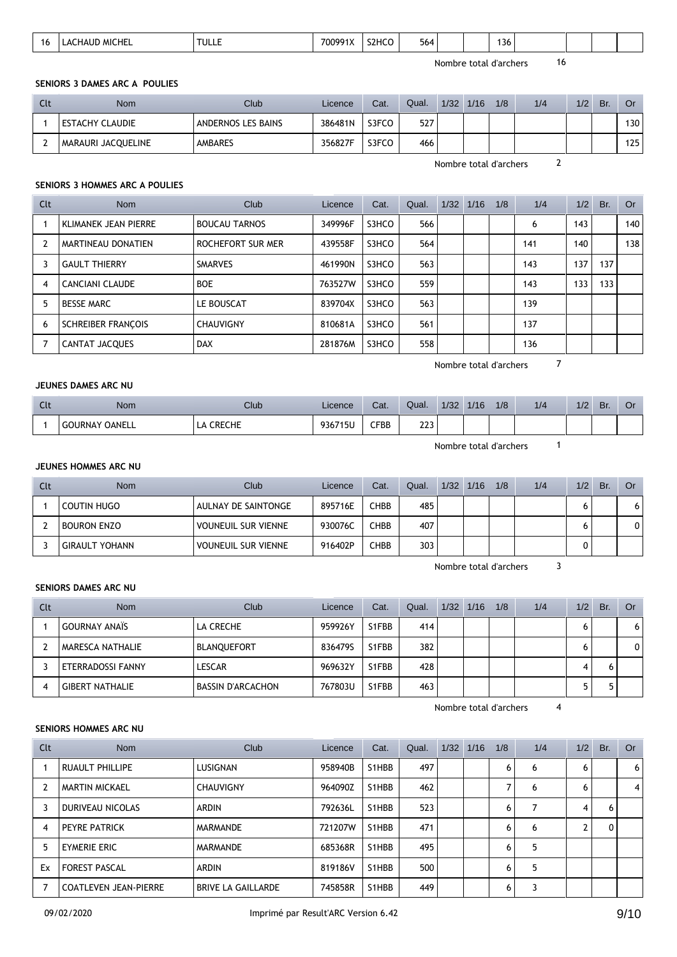|  | י י | MI)<br>I∆I IF<br>$\mathbf{u}$<br>псь<br>_______ | TULL. | 70c<br>∘מח | 7HC<br>--<br>____ | $\overline{\phantom{a}}$<br>564<br>__ |  |  | 136<br>$ -$ |  |  |  |  |  |
|--|-----|-------------------------------------------------|-------|------------|-------------------|---------------------------------------|--|--|-------------|--|--|--|--|--|
|--|-----|-------------------------------------------------|-------|------------|-------------------|---------------------------------------|--|--|-------------|--|--|--|--|--|

### **SENIORS 3 DAMES ARC A POULIES**

| Clt | Nom                | Club               | Licence | Cat.  | Qual. | 1/32 | 1/16 | 1/8 | 1/4 | 1/2 | Br. | Or               |
|-----|--------------------|--------------------|---------|-------|-------|------|------|-----|-----|-----|-----|------------------|
|     | ESTACHY CLAUDIE    | ANDERNOS LES BAINS | 386481N | S3FCO | 527   |      |      |     |     |     |     | 130 <sub>1</sub> |
|     | MARAURI JACQUELINE | AMBARES            | 356827F | S3FCO | 466   |      |      |     |     |     |     | 125              |

Nombre total d'archers 2

### **SENIORS 3 HOMMES ARC A POULIES**

| Clt | <b>Nom</b>                  | Club                 | Licence | Cat.  | Qual. | $1/32$ $1/16$ | 1/8 | 1/4 | 1/2 | Br. | Or  |
|-----|-----------------------------|----------------------|---------|-------|-------|---------------|-----|-----|-----|-----|-----|
|     | <b>KLIMANEK JEAN PIERRE</b> | <b>BOUCAU TARNOS</b> | 349996F | S3HCO | 566   |               |     | 6   | 143 |     | 140 |
|     | MARTINEAU DONATIEN          | ROCHEFORT SUR MER    | 439558F | S3HCO | 564   |               |     | 141 | 140 |     | 138 |
| 3   | <b>GAULT THIERRY</b>        | <b>SMARVES</b>       | 461990N | S3HCO | 563   |               |     | 143 | 137 | 137 |     |
| 4   | CANCIANI CLAUDE             | <b>BOE</b>           | 763527W | S3HCO | 559   |               |     | 143 | 133 | 133 |     |
| 5   | <b>BESSE MARC</b>           | LE BOUSCAT           | 839704X | S3HCO | 563   |               |     | 139 |     |     |     |
| 6   | <b>SCHREIBER FRANCOIS</b>   | <b>CHAUVIGNY</b>     | 810681A | S3HCO | 561   |               |     | 137 |     |     |     |
|     | CANTAT JACQUES              | <b>DAX</b>           | 281876M | S3HCO | 558   |               |     | 136 |     |     |     |

Nombre total d'archers 7

### **JEUNES DAMES ARC NU**

| $\sim$<br>ิ | Nom                             | Club                         | Licence         | Cat. | Qual.                    | 1/32 | 1/16 | 1/8 | 1/4 | 1/2 | Br. | Û |
|-------------|---------------------------------|------------------------------|-----------------|------|--------------------------|------|------|-----|-----|-----|-----|---|
|             | <b>OANELL</b><br><b>GOURNAY</b> | <b>CDECHE</b><br>∟<br>◡∩∟◡▯∟ | 936715L<br>٬15Մ | CFBB | าาา<br><u>__ _</u><br>__ |      |      |     |     |     |     |   |

Nombre total d'archers 1

# **JEUNES HOMMES ARC NU**

| Clt | <b>Nom</b>            | Club                       | Licence | Cat.        | Qual. | 1/32 | 1/16 | 1/8 | 1/4 | 1/2 | Br. | <b>Or</b>    |
|-----|-----------------------|----------------------------|---------|-------------|-------|------|------|-----|-----|-----|-----|--------------|
|     | COUTIN HUGO           | AULNAY DE SAINTONGE        | 895716E | <b>CHBB</b> | 485   |      |      |     |     |     |     | 6            |
|     | <b>BOURON ENZO</b>    | <b>VOUNEUIL SUR VIENNE</b> | 930076C | CHBB        | 407   |      |      |     |     |     |     | $\mathbf{0}$ |
|     | <b>GIRAULT YOHANN</b> | <b>VOUNEUIL SUR VIENNE</b> | 916402P | <b>CHBB</b> | 303   |      |      |     |     |     |     |              |

Nombre total d'archers 3

### **SENIORS DAMES ARC NU**

| Clt | <b>Nom</b>              | Club                     | Licence | Cat.  | Qual. | $1/32$ $1/16$ | 1/8 | 1/4 | 1/2 | Br. | Or       |
|-----|-------------------------|--------------------------|---------|-------|-------|---------------|-----|-----|-----|-----|----------|
|     | <b>GOURNAY ANAIS</b>    | LA CRECHE                | 959926Y | S1FBB | 414   |               |     |     | o   |     | 6        |
|     | <b>MARESCA NATHALIE</b> | <b>BLANQUEFORT</b>       | 8364795 | S1FBB | 382   |               |     |     | 6   |     | $\Omega$ |
|     | ETERRADOSSI FANNY       | LESCAR                   | 969632Y | S1FBB | 428   |               |     |     |     |     |          |
| 4   | <b>GIBERT NATHALIE</b>  | <b>BASSIN D'ARCACHON</b> | 767803U | S1FBB | 463   |               |     |     |     |     |          |

Nombre total d'archers 4

# **SENIORS HOMMES ARC NU**

| Clt            | <b>Nom</b>                   | Club                      | Licence | Cat.  | Qual. | 1/32 | 1/16 | 1/8 | 1/4 | 1/2 | Br. | <b>Or</b> |
|----------------|------------------------------|---------------------------|---------|-------|-------|------|------|-----|-----|-----|-----|-----------|
|                | RUAULT PHILLIPE              | LUSIGNAN                  | 958940B | S1HBB | 497   |      |      | 6   | 6   | 6   |     | 6         |
| $\overline{2}$ | <b>MARTIN MICKAEL</b>        | <b>CHAUVIGNY</b>          | 964090Z | S1HBB | 462   |      |      | 7   | 6   | 6   |     | 4         |
| 3              | DURIVEAU NICOLAS             | <b>ARDIN</b>              | 792636L | S1HBB | 523   |      |      | 6   |     | 4   | 6   |           |
| 4              | <b>PEYRE PATRICK</b>         | MARMANDE                  | 721207W | S1HBB | 471   |      |      | 6   | 6   |     | 0   |           |
| 5              | EYMERIE ERIC                 | <b>MARMANDE</b>           | 685368R | S1HBB | 495   |      |      | 6   | 5   |     |     |           |
| Ex             | <b>FOREST PASCAL</b>         | <b>ARDIN</b>              | 819186V | S1HBB | 500   |      |      | 6   | 5   |     |     |           |
| 7              | <b>COATLEVEN JEAN-PIERRE</b> | <b>BRIVE LA GAILLARDE</b> | 745858R | S1HBB | 449   |      |      | 6   | 3   |     |     |           |